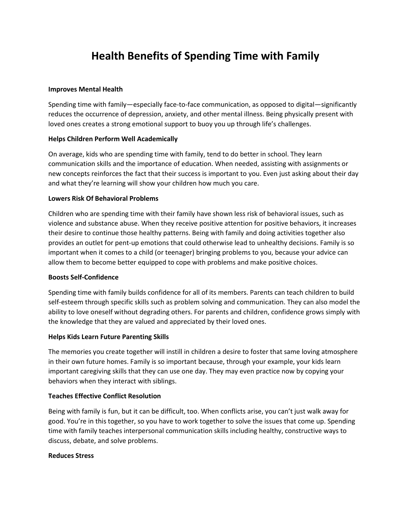# **Health Benefits of Spending Time with Family**

#### **Improves Mental Health**

Spending time with family—especially face-to-face communication, as opposed to digital—significantly reduces the occurrence of depression, anxiety, and other mental illness. Being physically present with loved ones creates a strong emotional support to buoy you up through life's challenges.

#### **Helps Children Perform Well Academically**

On average, kids who are spending time with family, tend to do better in school. They learn communication skills and the importance of education. When needed, assisting with assignments or new concepts reinforces the fact that their success is important to you. Even just asking about their day and what they're learning will show your children how much you care.

#### **Lowers Risk Of Behavioral Problems**

Children who are spending time with their family have shown less risk of behavioral issues, such as violence and substance abuse. When they receive positive attention for positive behaviors, it increases their desire to continue those healthy patterns. Being with family and doing activities together also provides an outlet for pent-up emotions that could otherwise lead to unhealthy decisions. Family is so important when it comes to a child (or teenager) bringing problems to you, because your advice can allow them to become better equipped to cope with problems and make positive choices.

#### **Boosts Self-Confidence**

Spending time with family builds confidence for all of its members. Parents can teach children to build self-esteem through specific skills such as problem solving and communication. They can also model the ability to love oneself without degrading others. For parents and children, confidence grows simply with the knowledge that they are valued and appreciated by their loved ones.

#### **Helps Kids Learn Future Parenting Skills**

The memories you create together will instill in children a desire to foster that same loving atmosphere in their own future homes. Family is so important because, through your example, your kids learn important caregiving skills that they can use one day. They may even practice now by copying your behaviors when they interact with siblings.

#### **Teaches Effective Conflict Resolution**

Being with family is fun, but it can be difficult, too. When conflicts arise, you can't just walk away for good. You're in this together, so you have to work together to solve the issues that come up. Spending time with family teaches interpersonal communication skills including healthy, constructive ways to discuss, debate, and solve problems.

#### **Reduces Stress**